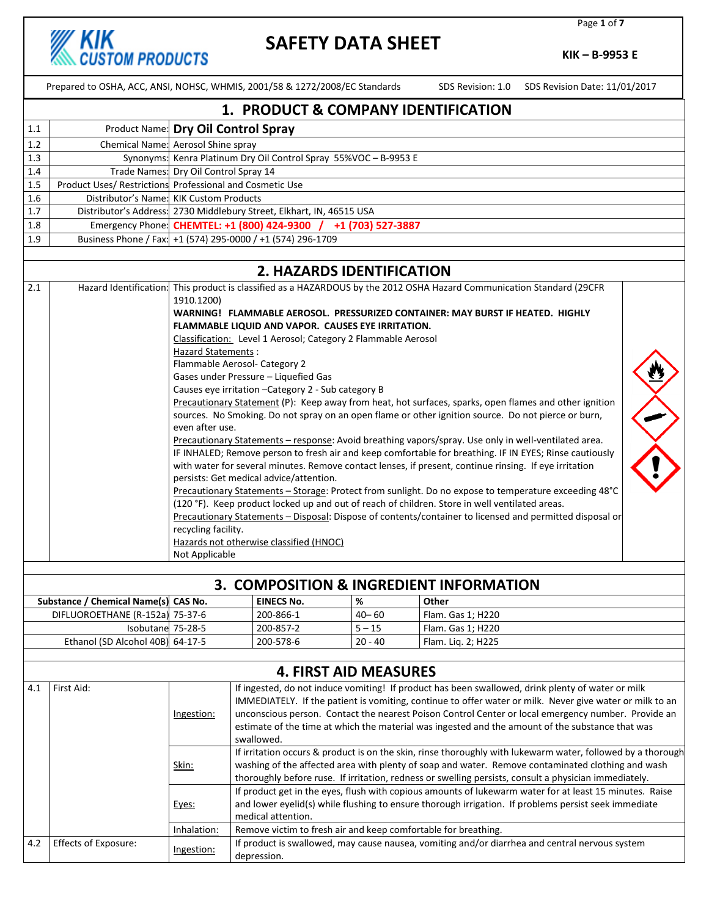**KIK**<br>*CUSTOM PRODUCTS* 

# **SAFETY DATA SHEET**

Page **1** of **7**

**KIK – B-9953 E**

|     | Prepared to OSHA, ACC, ANSI, NOHSC, WHMIS, 2001/58 & 1272/2008/EC Standards<br>SDS Revision: 1.0 SDS Revision Date: 11/01/2017 |                                                                                                                                                                                                         |  |                                                                                                                                      |           |                    |                                                                                                          |  |
|-----|--------------------------------------------------------------------------------------------------------------------------------|---------------------------------------------------------------------------------------------------------------------------------------------------------------------------------------------------------|--|--------------------------------------------------------------------------------------------------------------------------------------|-----------|--------------------|----------------------------------------------------------------------------------------------------------|--|
|     | 1. PRODUCT & COMPANY IDENTIFICATION                                                                                            |                                                                                                                                                                                                         |  |                                                                                                                                      |           |                    |                                                                                                          |  |
| 1.1 | Product Name: Dry Oil Control Spray                                                                                            |                                                                                                                                                                                                         |  |                                                                                                                                      |           |                    |                                                                                                          |  |
| 1.2 | Chemical Name: Aerosol Shine spray                                                                                             |                                                                                                                                                                                                         |  |                                                                                                                                      |           |                    |                                                                                                          |  |
| 1.3 |                                                                                                                                |                                                                                                                                                                                                         |  | Synonyms: Kenra Platinum Dry Oil Control Spray 55%VOC - B-9953 E                                                                     |           |                    |                                                                                                          |  |
| 1.4 |                                                                                                                                | Trade Names: Dry Oil Control Spray 14                                                                                                                                                                   |  |                                                                                                                                      |           |                    |                                                                                                          |  |
| 1.5 | Product Uses/ Restrictions Professional and Cosmetic Use                                                                       |                                                                                                                                                                                                         |  |                                                                                                                                      |           |                    |                                                                                                          |  |
| 1.6 | Distributor's Name: KIK Custom Products                                                                                        |                                                                                                                                                                                                         |  |                                                                                                                                      |           |                    |                                                                                                          |  |
| 1.7 |                                                                                                                                |                                                                                                                                                                                                         |  | Distributor's Address: 2730 Middlebury Street, Elkhart, IN, 46515 USA                                                                |           |                    |                                                                                                          |  |
| 1.8 |                                                                                                                                |                                                                                                                                                                                                         |  | Emergency Phone: CHEMTEL: +1 (800) 424-9300 / +1 (703) 527-3887                                                                      |           |                    |                                                                                                          |  |
| 1.9 | Business Phone / Fax: +1 (574) 295-0000 / +1 (574) 296-1709                                                                    |                                                                                                                                                                                                         |  |                                                                                                                                      |           |                    |                                                                                                          |  |
|     | <b>2. HAZARDS IDENTIFICATION</b>                                                                                               |                                                                                                                                                                                                         |  |                                                                                                                                      |           |                    |                                                                                                          |  |
| 2.1 |                                                                                                                                |                                                                                                                                                                                                         |  | Hazard Identification: This product is classified as a HAZARDOUS by the 2012 OSHA Hazard Communication Standard (29CFR               |           |                    |                                                                                                          |  |
|     |                                                                                                                                | 1910.1200)                                                                                                                                                                                              |  | WARNING! FLAMMABLE AEROSOL. PRESSURIZED CONTAINER: MAY BURST IF HEATED. HIGHLY<br>FLAMMABLE LIQUID AND VAPOR. CAUSES EYE IRRITATION. |           |                    |                                                                                                          |  |
|     |                                                                                                                                |                                                                                                                                                                                                         |  | Classification: Level 1 Aerosol; Category 2 Flammable Aerosol                                                                        |           |                    |                                                                                                          |  |
|     |                                                                                                                                | <b>Hazard Statements:</b>                                                                                                                                                                               |  |                                                                                                                                      |           |                    |                                                                                                          |  |
|     |                                                                                                                                | Flammable Aerosol- Category 2                                                                                                                                                                           |  |                                                                                                                                      |           |                    |                                                                                                          |  |
|     |                                                                                                                                |                                                                                                                                                                                                         |  | Gases under Pressure - Liquefied Gas                                                                                                 |           |                    |                                                                                                          |  |
|     |                                                                                                                                |                                                                                                                                                                                                         |  | Causes eye irritation - Category 2 - Sub category B                                                                                  |           |                    |                                                                                                          |  |
|     |                                                                                                                                |                                                                                                                                                                                                         |  |                                                                                                                                      |           |                    | Precautionary Statement (P): Keep away from heat, hot surfaces, sparks, open flames and other ignition   |  |
|     |                                                                                                                                | even after use.                                                                                                                                                                                         |  | sources. No Smoking. Do not spray on an open flame or other ignition source. Do not pierce or burn,                                  |           |                    |                                                                                                          |  |
|     |                                                                                                                                |                                                                                                                                                                                                         |  | Precautionary Statements - response: Avoid breathing vapors/spray. Use only in well-ventilated area.                                 |           |                    |                                                                                                          |  |
|     |                                                                                                                                |                                                                                                                                                                                                         |  |                                                                                                                                      |           |                    | IF INHALED; Remove person to fresh air and keep comfortable for breathing. IF IN EYES; Rinse cautiously  |  |
|     |                                                                                                                                |                                                                                                                                                                                                         |  | with water for several minutes. Remove contact lenses, if present, continue rinsing. If eye irritation                               |           |                    |                                                                                                          |  |
|     |                                                                                                                                |                                                                                                                                                                                                         |  | persists: Get medical advice/attention.                                                                                              |           |                    |                                                                                                          |  |
|     |                                                                                                                                |                                                                                                                                                                                                         |  |                                                                                                                                      |           |                    | Precautionary Statements - Storage: Protect from sunlight. Do no expose to temperature exceeding 48°C    |  |
|     |                                                                                                                                |                                                                                                                                                                                                         |  | (120 °F). Keep product locked up and out of reach of children. Store in well ventilated areas.                                       |           |                    |                                                                                                          |  |
|     |                                                                                                                                |                                                                                                                                                                                                         |  |                                                                                                                                      |           |                    | Precautionary Statements - Disposal: Dispose of contents/container to licensed and permitted disposal or |  |
|     |                                                                                                                                | recycling facility.                                                                                                                                                                                     |  |                                                                                                                                      |           |                    |                                                                                                          |  |
|     |                                                                                                                                |                                                                                                                                                                                                         |  | Hazards not otherwise classified (HNOC)                                                                                              |           |                    |                                                                                                          |  |
|     |                                                                                                                                | Not Applicable                                                                                                                                                                                          |  |                                                                                                                                      |           |                    |                                                                                                          |  |
|     |                                                                                                                                |                                                                                                                                                                                                         |  | 3. COMPOSITION & INGREDIENT INFORMATION                                                                                              |           |                    |                                                                                                          |  |
|     | Substance / Chemical Name(s) CAS No.                                                                                           |                                                                                                                                                                                                         |  | <b>EINECS No.</b>                                                                                                                    | %         | Other              |                                                                                                          |  |
|     | DIFLUOROETHANE (R-152a) 75-37-6                                                                                                |                                                                                                                                                                                                         |  | 200-866-1                                                                                                                            | $40 - 60$ | Flam. Gas 1; H220  |                                                                                                          |  |
|     | Isobutane 75-28-5                                                                                                              |                                                                                                                                                                                                         |  | 200-857-2                                                                                                                            | $5 - 15$  | Flam. Gas 1; H220  |                                                                                                          |  |
|     | Ethanol (SD Alcohol 40B) 64-17-5                                                                                               |                                                                                                                                                                                                         |  | 200-578-6                                                                                                                            | $20 - 40$ | Flam. Lig. 2; H225 |                                                                                                          |  |
|     |                                                                                                                                |                                                                                                                                                                                                         |  |                                                                                                                                      |           |                    |                                                                                                          |  |
|     |                                                                                                                                |                                                                                                                                                                                                         |  | <b>4. FIRST AID MEASURES</b>                                                                                                         |           |                    |                                                                                                          |  |
| 4.1 | First Aid:                                                                                                                     |                                                                                                                                                                                                         |  |                                                                                                                                      |           |                    | If ingested, do not induce vomiting! If product has been swallowed, drink plenty of water or milk        |  |
|     |                                                                                                                                |                                                                                                                                                                                                         |  |                                                                                                                                      |           |                    | IMMEDIATELY. If the patient is vomiting, continue to offer water or milk. Never give water or milk to an |  |
|     |                                                                                                                                | Ingestion:                                                                                                                                                                                              |  |                                                                                                                                      |           |                    |                                                                                                          |  |
|     |                                                                                                                                | unconscious person. Contact the nearest Poison Control Center or local emergency number. Provide an<br>estimate of the time at which the material was ingested and the amount of the substance that was |  |                                                                                                                                      |           |                    |                                                                                                          |  |
|     |                                                                                                                                | swallowed.                                                                                                                                                                                              |  |                                                                                                                                      |           |                    |                                                                                                          |  |
|     |                                                                                                                                | If irritation occurs & product is on the skin, rinse thoroughly with lukewarm water, followed by a thorough                                                                                             |  |                                                                                                                                      |           |                    |                                                                                                          |  |
|     |                                                                                                                                | washing of the affected area with plenty of soap and water. Remove contaminated clothing and wash<br>Skin:                                                                                              |  |                                                                                                                                      |           |                    |                                                                                                          |  |
|     |                                                                                                                                |                                                                                                                                                                                                         |  |                                                                                                                                      |           |                    | thoroughly before ruse. If irritation, redness or swelling persists, consult a physician immediately.    |  |
|     |                                                                                                                                |                                                                                                                                                                                                         |  |                                                                                                                                      |           |                    | If product get in the eyes, flush with copious amounts of lukewarm water for at least 15 minutes. Raise  |  |
|     |                                                                                                                                | Eyes:                                                                                                                                                                                                   |  |                                                                                                                                      |           |                    | and lower eyelid(s) while flushing to ensure thorough irrigation. If problems persist seek immediate     |  |
|     |                                                                                                                                |                                                                                                                                                                                                         |  | medical attention.                                                                                                                   |           |                    |                                                                                                          |  |
| 4.2 |                                                                                                                                | Inhalation:                                                                                                                                                                                             |  | Remove victim to fresh air and keep comfortable for breathing.                                                                       |           |                    | If product is swallowed, may cause nausea, vomiting and/or diarrhea and central nervous system           |  |
|     | Effects of Exposure:                                                                                                           | Ingestion:                                                                                                                                                                                              |  | depression.                                                                                                                          |           |                    |                                                                                                          |  |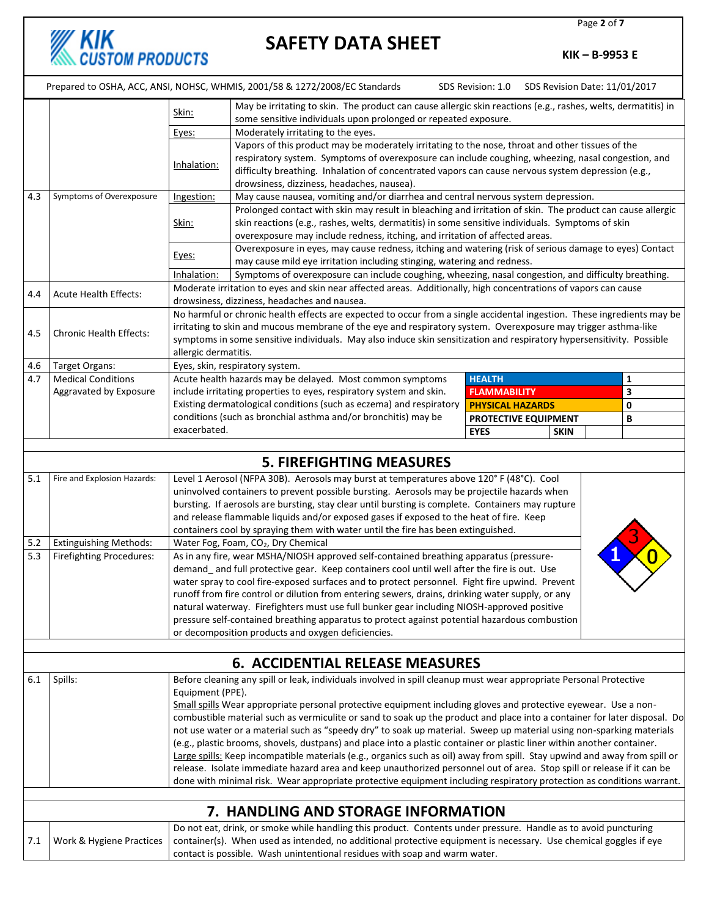Page **2** of **7**

## **SAFETY DATA SHEET**

**KIK**<br>*CUSTOM PRODUCTS* 

**KIK – B-9953 E**

|     |                                                                                                                           |                                                                                                                                                                                              | Prepared to OSHA, ACC, ANSI, NOHSC, WHMIS, 2001/58 & 1272/2008/EC Standards                                                                                                                     |                         |                             | SDS Revision: 1.0 SDS Revision Date: 11/01/2017 |
|-----|---------------------------------------------------------------------------------------------------------------------------|----------------------------------------------------------------------------------------------------------------------------------------------------------------------------------------------|-------------------------------------------------------------------------------------------------------------------------------------------------------------------------------------------------|-------------------------|-----------------------------|-------------------------------------------------|
|     |                                                                                                                           |                                                                                                                                                                                              | May be irritating to skin. The product can cause allergic skin reactions (e.g., rashes, welts, dermatitis) in                                                                                   |                         |                             |                                                 |
|     |                                                                                                                           | Skin:                                                                                                                                                                                        | some sensitive individuals upon prolonged or repeated exposure.                                                                                                                                 |                         |                             |                                                 |
|     |                                                                                                                           | Eyes:                                                                                                                                                                                        | Moderately irritating to the eyes.                                                                                                                                                              |                         |                             |                                                 |
|     |                                                                                                                           |                                                                                                                                                                                              | Vapors of this product may be moderately irritating to the nose, throat and other tissues of the                                                                                                |                         |                             |                                                 |
|     |                                                                                                                           | Inhalation:                                                                                                                                                                                  | respiratory system. Symptoms of overexposure can include coughing, wheezing, nasal congestion, and                                                                                              |                         |                             |                                                 |
|     |                                                                                                                           |                                                                                                                                                                                              | difficulty breathing. Inhalation of concentrated vapors can cause nervous system depression (e.g.,                                                                                              |                         |                             |                                                 |
| 4.3 | Symptoms of Overexposure                                                                                                  |                                                                                                                                                                                              | drowsiness, dizziness, headaches, nausea).                                                                                                                                                      |                         |                             |                                                 |
|     |                                                                                                                           | Ingestion:                                                                                                                                                                                   | May cause nausea, vomiting and/or diarrhea and central nervous system depression.<br>Prolonged contact with skin may result in bleaching and irritation of skin. The product can cause allergic |                         |                             |                                                 |
|     |                                                                                                                           | Skin:                                                                                                                                                                                        | skin reactions (e.g., rashes, welts, dermatitis) in some sensitive individuals. Symptoms of skin                                                                                                |                         |                             |                                                 |
|     |                                                                                                                           |                                                                                                                                                                                              | overexposure may include redness, itching, and irritation of affected areas.                                                                                                                    |                         |                             |                                                 |
|     |                                                                                                                           |                                                                                                                                                                                              | Overexposure in eyes, may cause redness, itching and watering (risk of serious damage to eyes) Contact                                                                                          |                         |                             |                                                 |
|     |                                                                                                                           | Eyes:                                                                                                                                                                                        | may cause mild eye irritation including stinging, watering and redness.                                                                                                                         |                         |                             |                                                 |
|     |                                                                                                                           | Inhalation:                                                                                                                                                                                  | Symptoms of overexposure can include coughing, wheezing, nasal congestion, and difficulty breathing.                                                                                            |                         |                             |                                                 |
| 4.4 | <b>Acute Health Effects:</b>                                                                                              |                                                                                                                                                                                              | Moderate irritation to eyes and skin near affected areas. Additionally, high concentrations of vapors can cause                                                                                 |                         |                             |                                                 |
|     |                                                                                                                           |                                                                                                                                                                                              | drowsiness, dizziness, headaches and nausea.                                                                                                                                                    |                         |                             |                                                 |
|     |                                                                                                                           |                                                                                                                                                                                              | No harmful or chronic health effects are expected to occur from a single accidental ingestion. These ingredients may be                                                                         |                         |                             |                                                 |
| 4.5 | <b>Chronic Health Effects:</b>                                                                                            |                                                                                                                                                                                              | irritating to skin and mucous membrane of the eye and respiratory system. Overexposure may trigger asthma-like                                                                                  |                         |                             |                                                 |
|     |                                                                                                                           | allergic dermatitis.                                                                                                                                                                         | symptoms in some sensitive individuals. May also induce skin sensitization and respiratory hypersensitivity. Possible                                                                           |                         |                             |                                                 |
| 4.6 | Target Organs:                                                                                                            |                                                                                                                                                                                              | Eyes, skin, respiratory system.                                                                                                                                                                 |                         |                             |                                                 |
| 4.7 | <b>Medical Conditions</b>                                                                                                 |                                                                                                                                                                                              | Acute health hazards may be delayed. Most common symptoms                                                                                                                                       | <b>HEALTH</b>           |                             | 1                                               |
|     | Aggravated by Exposure                                                                                                    |                                                                                                                                                                                              | include irritating properties to eyes, respiratory system and skin.                                                                                                                             | <b>FLAMMABILITY</b>     |                             | 3                                               |
|     |                                                                                                                           |                                                                                                                                                                                              | Existing dermatological conditions (such as eczema) and respiratory                                                                                                                             | <b>PHYSICAL HAZARDS</b> |                             | 0                                               |
|     |                                                                                                                           |                                                                                                                                                                                              | conditions (such as bronchial asthma and/or bronchitis) may be                                                                                                                                  |                         | <b>PROTECTIVE EQUIPMENT</b> | В                                               |
|     |                                                                                                                           | exacerbated.                                                                                                                                                                                 |                                                                                                                                                                                                 | <b>EYES</b>             | <b>SKIN</b>                 |                                                 |
|     |                                                                                                                           |                                                                                                                                                                                              |                                                                                                                                                                                                 |                         |                             |                                                 |
|     |                                                                                                                           |                                                                                                                                                                                              | <b>5. FIREFIGHTING MEASURES</b>                                                                                                                                                                 |                         |                             |                                                 |
| 5.1 | Fire and Explosion Hazards:                                                                                               |                                                                                                                                                                                              | Level 1 Aerosol (NFPA 30B). Aerosols may burst at temperatures above 120° F (48°C). Cool                                                                                                        |                         |                             |                                                 |
|     |                                                                                                                           | uninvolved containers to prevent possible bursting. Aerosols may be projectile hazards when                                                                                                  |                                                                                                                                                                                                 |                         |                             |                                                 |
|     |                                                                                                                           | bursting. If aerosols are bursting, stay clear until bursting is complete. Containers may rupture<br>and release flammable liquids and/or exposed gases if exposed to the heat of fire. Keep |                                                                                                                                                                                                 |                         |                             |                                                 |
|     |                                                                                                                           |                                                                                                                                                                                              | containers cool by spraying them with water until the fire has been extinguished.                                                                                                               |                         |                             |                                                 |
| 5.2 | <b>Extinguishing Methods:</b>                                                                                             |                                                                                                                                                                                              | Water Fog, Foam, CO <sub>2</sub> , Dry Chemical                                                                                                                                                 |                         |                             |                                                 |
| 5.3 | <b>Firefighting Procedures:</b>                                                                                           |                                                                                                                                                                                              | As in any fire, wear MSHA/NIOSH approved self-contained breathing apparatus (pressure-                                                                                                          |                         |                             |                                                 |
|     |                                                                                                                           |                                                                                                                                                                                              | demand_and full protective gear. Keep containers cool until well after the fire is out. Use                                                                                                     |                         |                             |                                                 |
|     |                                                                                                                           | water spray to cool fire-exposed surfaces and to protect personnel. Fight fire upwind. Prevent                                                                                               |                                                                                                                                                                                                 |                         |                             |                                                 |
|     |                                                                                                                           |                                                                                                                                                                                              | runoff from fire control or dilution from entering sewers, drains, drinking water supply, or any                                                                                                |                         |                             |                                                 |
|     |                                                                                                                           |                                                                                                                                                                                              | natural waterway. Firefighters must use full bunker gear including NIOSH-approved positive                                                                                                      |                         |                             |                                                 |
|     |                                                                                                                           |                                                                                                                                                                                              | pressure self-contained breathing apparatus to protect against potential hazardous combustion                                                                                                   |                         |                             |                                                 |
|     |                                                                                                                           |                                                                                                                                                                                              | or decomposition products and oxygen deficiencies.                                                                                                                                              |                         |                             |                                                 |
|     | <b>6. ACCIDENTIAL RELEASE MEASURES</b>                                                                                    |                                                                                                                                                                                              |                                                                                                                                                                                                 |                         |                             |                                                 |
| 6.1 | Spills:                                                                                                                   |                                                                                                                                                                                              | Before cleaning any spill or leak, individuals involved in spill cleanup must wear appropriate Personal Protective                                                                              |                         |                             |                                                 |
|     |                                                                                                                           | Equipment (PPE).                                                                                                                                                                             |                                                                                                                                                                                                 |                         |                             |                                                 |
|     |                                                                                                                           |                                                                                                                                                                                              | Small spills Wear appropriate personal protective equipment including gloves and protective eyewear. Use a non-                                                                                 |                         |                             |                                                 |
|     | combustible material such as vermiculite or sand to soak up the product and place into a container for later disposal. Do |                                                                                                                                                                                              |                                                                                                                                                                                                 |                         |                             |                                                 |
|     |                                                                                                                           | not use water or a material such as "speedy dry" to soak up material. Sweep up material using non-sparking materials                                                                         |                                                                                                                                                                                                 |                         |                             |                                                 |
|     |                                                                                                                           |                                                                                                                                                                                              | (e.g., plastic brooms, shovels, dustpans) and place into a plastic container or plastic liner within another container.                                                                         |                         |                             |                                                 |
|     |                                                                                                                           |                                                                                                                                                                                              | Large spills: Keep incompatible materials (e.g., organics such as oil) away from spill. Stay upwind and away from spill or                                                                      |                         |                             |                                                 |
|     |                                                                                                                           |                                                                                                                                                                                              | release. Isolate immediate hazard area and keep unauthorized personnel out of area. Stop spill or release if it can be                                                                          |                         |                             |                                                 |
|     |                                                                                                                           |                                                                                                                                                                                              | done with minimal risk. Wear appropriate protective equipment including respiratory protection as conditions warrant.                                                                           |                         |                             |                                                 |
|     |                                                                                                                           |                                                                                                                                                                                              | 7. HANDLING AND STORAGE INFORMATION                                                                                                                                                             |                         |                             |                                                 |
|     |                                                                                                                           |                                                                                                                                                                                              | Do not eat, drink, or smoke while handling this product. Contents under pressure. Handle as to avoid puncturing                                                                                 |                         |                             |                                                 |
| 7.1 | Work & Hygiene Practices                                                                                                  |                                                                                                                                                                                              | container(s). When used as intended, no additional protective equipment is necessary. Use chemical goggles if eye                                                                               |                         |                             |                                                 |
|     |                                                                                                                           |                                                                                                                                                                                              | contact is possible. Wash unintentional residues with soap and warm water.                                                                                                                      |                         |                             |                                                 |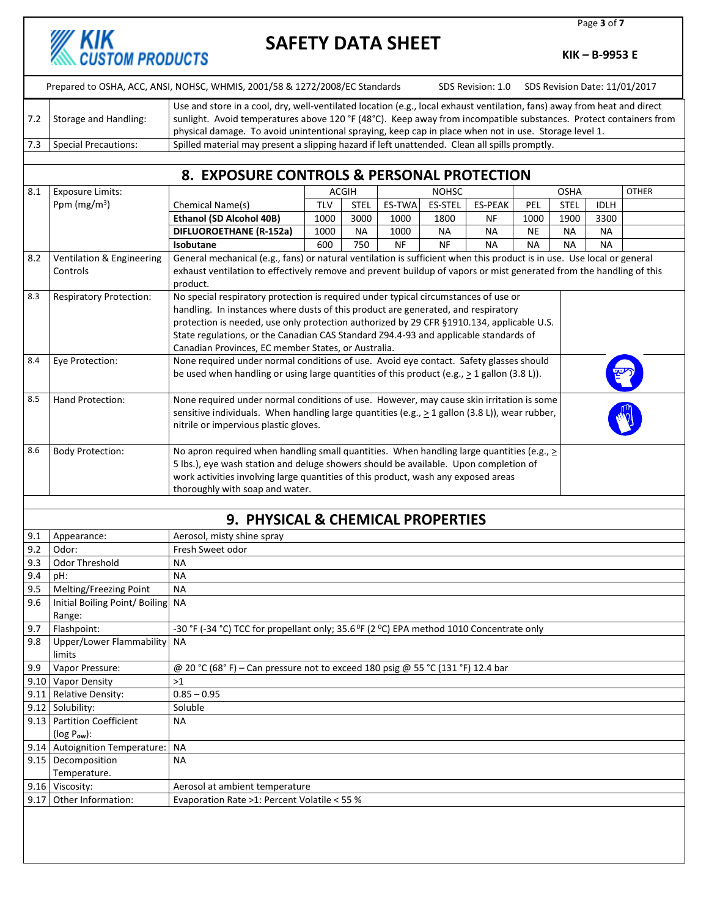# **KIK**<br>CUSTOM PRODUCTS

## **SAFETY DATA SHEET**

Page **3** of **7**

**KIK – B-9953 E**

|     |                                                                                                                                                                                                                                                                                                                                                                                 | Prepared to OSHA, ACC, ANSI, NOHSC, WHMIS, 2001/58 & 1272/2008/EC Standards                   |            |             |               |                | SDS Revision: 1.0 |           | SDS Revision Date: 11/01/2017 |             |              |
|-----|---------------------------------------------------------------------------------------------------------------------------------------------------------------------------------------------------------------------------------------------------------------------------------------------------------------------------------------------------------------------------------|-----------------------------------------------------------------------------------------------|------------|-------------|---------------|----------------|-------------------|-----------|-------------------------------|-------------|--------------|
| 7.2 | Use and store in a cool, dry, well-ventilated location (e.g., local exhaust ventilation, fans) away from heat and direct<br>sunlight. Avoid temperatures above 120 °F (48°C). Keep away from incompatible substances. Protect containers from<br>Storage and Handling:<br>physical damage. To avoid unintentional spraying, keep cap in place when not in use. Storage level 1. |                                                                                               |            |             |               |                |                   |           |                               |             |              |
| 7.3 | <b>Special Precautions:</b>                                                                                                                                                                                                                                                                                                                                                     | Spilled material may present a slipping hazard if left unattended. Clean all spills promptly. |            |             |               |                |                   |           |                               |             |              |
|     |                                                                                                                                                                                                                                                                                                                                                                                 |                                                                                               |            |             |               |                |                   |           |                               |             |              |
|     | 8. EXPOSURE CONTROLS & PERSONAL PROTECTION                                                                                                                                                                                                                                                                                                                                      |                                                                                               |            |             |               |                |                   |           |                               |             |              |
| 8.1 | <b>Exposure Limits:</b>                                                                                                                                                                                                                                                                                                                                                         |                                                                                               |            | ACGIH       |               | <b>NOHSC</b>   |                   |           | <b>OSHA</b>                   |             | <b>OTHER</b> |
|     | Ppm ( $mg/m3$ )                                                                                                                                                                                                                                                                                                                                                                 | <b>Chemical Name(s)</b>                                                                       | <b>TLV</b> | <b>STEL</b> | <b>ES-TWA</b> | <b>ES-STEL</b> | <b>ES-PEAK</b>    | PEL       | <b>STEL</b>                   | <b>IDLH</b> |              |
|     |                                                                                                                                                                                                                                                                                                                                                                                 | <b>Ethanol (SD Alcohol 40B)</b>                                                               | 1000       | 3000        | 1000          | 1800           | <b>NF</b>         | 1000      | 1900                          | 3300        |              |
|     |                                                                                                                                                                                                                                                                                                                                                                                 | DIFLUOROETHANE (R-152a)                                                                       | 1000       | <b>NA</b>   | 1000          | <b>NA</b>      | <b>NA</b>         | <b>NE</b> | <b>NA</b>                     | <b>NA</b>   |              |
|     |                                                                                                                                                                                                                                                                                                                                                                                 | Isobutane                                                                                     | 600        | 750         | NF            | NF             | <b>NA</b>         | <b>NA</b> | <b>NA</b>                     | <b>NA</b>   |              |

| 8.2 | Ventilation & Engineering<br>Controls | General mechanical (e.g., fans) or natural ventilation is sufficient when this product is in use. Use local or general<br>exhaust ventilation to effectively remove and prevent buildup of vapors or mist generated from the handling of this<br>product.                                                    |                                                                                                                                                                                                                                                                                                                                                                                                                      |  |  |  |  |      |
|-----|---------------------------------------|--------------------------------------------------------------------------------------------------------------------------------------------------------------------------------------------------------------------------------------------------------------------------------------------------------------|----------------------------------------------------------------------------------------------------------------------------------------------------------------------------------------------------------------------------------------------------------------------------------------------------------------------------------------------------------------------------------------------------------------------|--|--|--|--|------|
| 8.3 | <b>Respiratory Protection:</b>        |                                                                                                                                                                                                                                                                                                              | No special respiratory protection is required under typical circumstances of use or<br>handling. In instances where dusts of this product are generated, and respiratory<br>protection is needed, use only protection authorized by 29 CFR §1910.134, applicable U.S.<br>State regulations, or the Canadian CAS Standard Z94.4-93 and applicable standards of<br>Canadian Provinces, EC member States, or Australia. |  |  |  |  |      |
| 8.4 | Eye Protection:                       | None required under normal conditions of use. Avoid eye contact. Safety glasses should<br>be used when handling or using large quantities of this product (e.g., $\geq 1$ gallon (3.8 L)).                                                                                                                   |                                                                                                                                                                                                                                                                                                                                                                                                                      |  |  |  |  | త్రా |
| 8.5 | Hand Protection:                      | None required under normal conditions of use. However, may cause skin irritation is some<br>sensitive individuals. When handling large quantities (e.g., $>1$ gallon (3.8 L)), wear rubber,<br>nitrile or impervious plastic gloves.                                                                         |                                                                                                                                                                                                                                                                                                                                                                                                                      |  |  |  |  |      |
| 8.6 | <b>Body Protection:</b>               | No apron required when handling small quantities. When handling large quantities (e.g., $>$<br>5 lbs.), eye wash station and deluge showers should be available. Upon completion of<br>work activities involving large quantities of this product, wash any exposed areas<br>thoroughly with soap and water. |                                                                                                                                                                                                                                                                                                                                                                                                                      |  |  |  |  |      |

#### **9. PHYSICAL & CHEMICAL PROPERTIES**

| 9.1  | Appearance:                      | Aerosol, misty shine spray                                                               |
|------|----------------------------------|------------------------------------------------------------------------------------------|
| 9.2  | Odor:                            | Fresh Sweet odor                                                                         |
| 9.3  | Odor Threshold                   | <b>NA</b>                                                                                |
| 9.4  | pH:                              | <b>NA</b>                                                                                |
| 9.5  | Melting/Freezing Point           | <b>NA</b>                                                                                |
| 9.6  | Initial Boiling Point/Boiling NA |                                                                                          |
|      | Range:                           |                                                                                          |
| 9.7  | Flashpoint:                      | -30 °F (-34 °C) TCC for propellant only; 35.6 °F (2 °C) EPA method 1010 Concentrate only |
| 9.8  | Upper/Lower Flammability   NA    |                                                                                          |
|      | limits                           |                                                                                          |
| 9.9  | Vapor Pressure:                  | @ 20 °C (68° F) – Can pressure not to exceed 180 psig @ 55 °C (131 °F) 12.4 bar          |
| 9.10 | Vapor Density                    | >1                                                                                       |
| 9.11 | Relative Density:                | $0.85 - 0.95$                                                                            |
| 9.12 | Solubility:                      | Soluble                                                                                  |
| 9.13 | <b>Partition Coefficient</b>     | <b>NA</b>                                                                                |
|      | $(log P_{ow})$ :                 |                                                                                          |
|      | 9.14 Autoignition Temperature:   | <b>NA</b>                                                                                |
| 9.15 | Decomposition                    | <b>NA</b>                                                                                |
|      | Temperature.                     |                                                                                          |
| 9.16 | Viscosity:                       | Aerosol at ambient temperature                                                           |
| 9.17 | Other Information:               | Evaporation Rate >1: Percent Volatile < 55 %                                             |
|      |                                  |                                                                                          |
|      |                                  |                                                                                          |
|      |                                  |                                                                                          |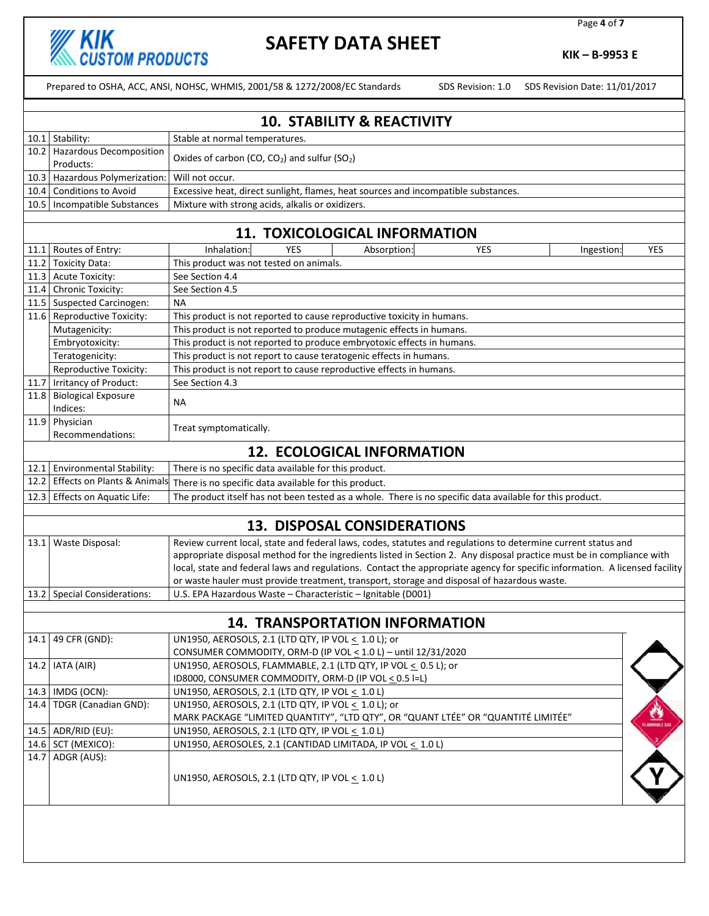

Page **4** of **7**

**KIK – B-9953 E**

Prepared to OSHA, ACC, ANSI, NOHSC, WHMIS, 2001/58 & 1272/2008/EC Standards SDS Revision: 1.0 SDS Revision Date: 11/01/2017

|      | <b>10. STABILITY &amp; REACTIVITY</b>                                              |                                                                                                                                           |  |  |  |  |
|------|------------------------------------------------------------------------------------|-------------------------------------------------------------------------------------------------------------------------------------------|--|--|--|--|
|      | 10.1 Stability:                                                                    | Stable at normal temperatures.                                                                                                            |  |  |  |  |
|      | 10.2 Hazardous Decomposition<br>Products:                                          | Oxides of carbon (CO, $CO2$ ) and sulfur (SO <sub>2</sub> )                                                                               |  |  |  |  |
| 10.3 | Hazardous Polymerization:                                                          | Will not occur.                                                                                                                           |  |  |  |  |
|      | 10.4 Conditions to Avoid                                                           | Excessive heat, direct sunlight, flames, heat sources and incompatible substances.                                                        |  |  |  |  |
|      | Mixture with strong acids, alkalis or oxidizers.<br>10.5   Incompatible Substances |                                                                                                                                           |  |  |  |  |
|      |                                                                                    |                                                                                                                                           |  |  |  |  |
|      |                                                                                    | 11. TOXICOLOGICAL INFORMATION                                                                                                             |  |  |  |  |
| 11.1 | Routes of Entry:                                                                   | Inhalation:<br>Absorption:<br>YES<br>YES<br>YES<br>Ingestion:                                                                             |  |  |  |  |
| 11.2 | <b>Toxicity Data:</b>                                                              | This product was not tested on animals.                                                                                                   |  |  |  |  |
|      | 11.3 Acute Toxicity:                                                               | See Section 4.4                                                                                                                           |  |  |  |  |
| 11.4 | <b>Chronic Toxicity:</b>                                                           | See Section 4.5                                                                                                                           |  |  |  |  |
|      | 11.5 Suspected Carcinogen:                                                         | <b>NA</b>                                                                                                                                 |  |  |  |  |
|      | 11.6 Reproductive Toxicity:                                                        | This product is not reported to cause reproductive toxicity in humans.                                                                    |  |  |  |  |
|      | Mutagenicity:                                                                      | This product is not reported to produce mutagenic effects in humans.                                                                      |  |  |  |  |
|      | Embryotoxicity:                                                                    | This product is not reported to produce embryotoxic effects in humans.                                                                    |  |  |  |  |
|      | Teratogenicity:<br>Reproductive Toxicity:                                          | This product is not report to cause teratogenic effects in humans.<br>This product is not report to cause reproductive effects in humans. |  |  |  |  |
| 11.7 | Irritancy of Product:                                                              | See Section 4.3                                                                                                                           |  |  |  |  |
| 11.8 | <b>Biological Exposure</b>                                                         |                                                                                                                                           |  |  |  |  |
|      | Indices:                                                                           | NА                                                                                                                                        |  |  |  |  |
|      | 11.9 Physician                                                                     |                                                                                                                                           |  |  |  |  |
|      | Recommendations:                                                                   | Treat symptomatically.                                                                                                                    |  |  |  |  |
|      |                                                                                    | <b>12. ECOLOGICAL INFORMATION</b>                                                                                                         |  |  |  |  |
|      | 12.1 Environmental Stability:                                                      | There is no specific data available for this product.                                                                                     |  |  |  |  |
| 12.2 | Effects on Plants & Animals                                                        | There is no specific data available for this product.                                                                                     |  |  |  |  |
|      | 12.3 Effects on Aquatic Life:                                                      | The product itself has not been tested as a whole. There is no specific data available for this product.                                  |  |  |  |  |
|      |                                                                                    |                                                                                                                                           |  |  |  |  |
|      |                                                                                    | <b>13. DISPOSAL CONSIDERATIONS</b>                                                                                                        |  |  |  |  |
|      | 13.1 Waste Disposal:                                                               | Review current local, state and federal laws, codes, statutes and regulations to determine current status and                             |  |  |  |  |
|      |                                                                                    | appropriate disposal method for the ingredients listed in Section 2. Any disposal practice must be in compliance with                     |  |  |  |  |
|      |                                                                                    | local, state and federal laws and regulations. Contact the appropriate agency for specific information. A licensed facility               |  |  |  |  |
|      |                                                                                    | or waste hauler must provide treatment, transport, storage and disposal of hazardous waste.                                               |  |  |  |  |
|      | 13.2 Special Considerations:                                                       | U.S. EPA Hazardous Waste - Characteristic - Ignitable (D001)                                                                              |  |  |  |  |
|      |                                                                                    | 14. TRANSPORTATION INFORMATION                                                                                                            |  |  |  |  |
|      |                                                                                    | UN1950, AEROSOLS, 2.1 (LTD QTY, IP VOL < 1.0 L); or                                                                                       |  |  |  |  |
|      | 14.1 49 CFR (GND):                                                                 | CONSUMER COMMODITY, ORM-D (IP VOL < 1.0 L) - until 12/31/2020                                                                             |  |  |  |  |
| 14.2 | IATA (AIR)                                                                         | UN1950, AEROSOLS, FLAMMABLE, 2.1 (LTD QTY, IP VOL < 0.5 L); or                                                                            |  |  |  |  |
|      |                                                                                    | ID8000, CONSUMER COMMODITY, ORM-D (IP VOL < 0.5 I=L)                                                                                      |  |  |  |  |
|      | 14.3   IMDG (OCN):                                                                 | UN1950, AEROSOLS, 2.1 (LTD QTY, IP VOL < 1.0 L)                                                                                           |  |  |  |  |
|      | 14.4 TDGR (Canadian GND):                                                          | UN1950, AEROSOLS, 2.1 (LTD QTY, IP VOL < 1.0 L); or                                                                                       |  |  |  |  |
|      |                                                                                    | MARK PACKAGE "LIMITED QUANTITY", "LTD QTY", OR "QUANT LTÉE" OR "QUANTITÉ LIMITÉE"                                                         |  |  |  |  |
|      | 14.5 ADR/RID (EU):                                                                 | UN1950, AEROSOLS, 2.1 (LTD QTY, IP VOL < 1.0 L)                                                                                           |  |  |  |  |
|      | 14.6 SCT (MEXICO):                                                                 | UN1950, AEROSOLES, 2.1 (CANTIDAD LIMITADA, IP VOL < 1.0 L)                                                                                |  |  |  |  |
|      | 14.7 ADGR (AUS):                                                                   | UN1950, AEROSOLS, 2.1 (LTD QTY, IP VOL < 1.0 L)                                                                                           |  |  |  |  |
|      |                                                                                    |                                                                                                                                           |  |  |  |  |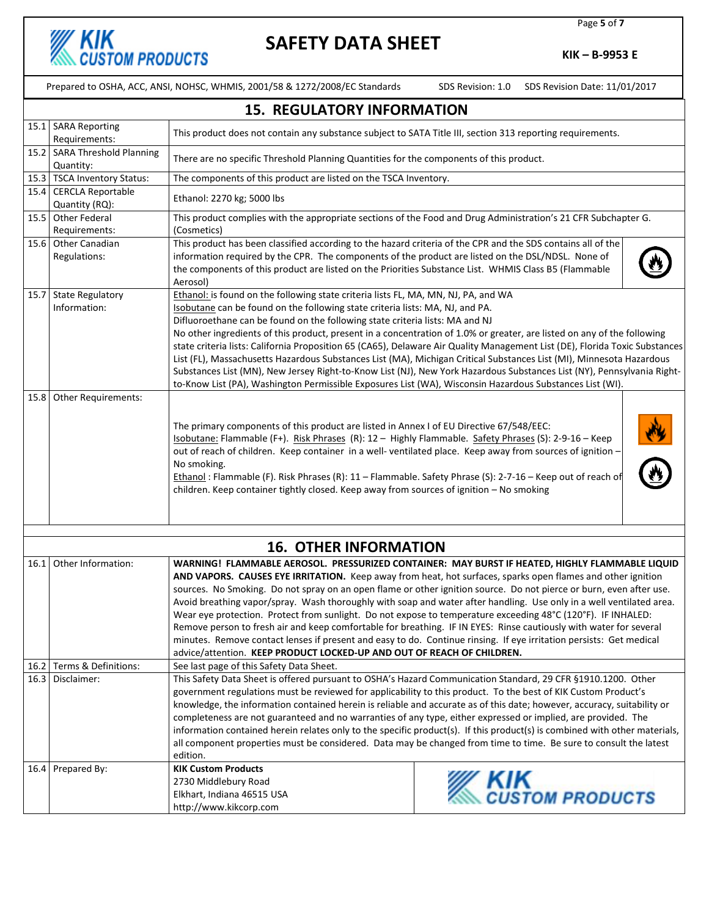

Page **5** of **7**

**KIK – B-9953 E**

Prepared to OSHA, ACC, ANSI, NOHSC, WHMIS, 2001/58 & 1272/2008/EC Standards SDS Revision: 1.0 SDS Revision Date: 11/01/2017

|      | <b>15. REGULATORY INFORMATION</b>         |                                                                                                                                                                                                                                                                                                                                                                                                                                                                                                                                                                                                                                                                                                                                           |                                                                                                                                                                                                                                                                                                                                                                                                                                                                                                                                                                                                                                                                                                            |  |  |  |
|------|-------------------------------------------|-------------------------------------------------------------------------------------------------------------------------------------------------------------------------------------------------------------------------------------------------------------------------------------------------------------------------------------------------------------------------------------------------------------------------------------------------------------------------------------------------------------------------------------------------------------------------------------------------------------------------------------------------------------------------------------------------------------------------------------------|------------------------------------------------------------------------------------------------------------------------------------------------------------------------------------------------------------------------------------------------------------------------------------------------------------------------------------------------------------------------------------------------------------------------------------------------------------------------------------------------------------------------------------------------------------------------------------------------------------------------------------------------------------------------------------------------------------|--|--|--|
|      | 15.1 SARA Reporting<br>Requirements:      | This product does not contain any substance subject to SATA Title III, section 313 reporting requirements.                                                                                                                                                                                                                                                                                                                                                                                                                                                                                                                                                                                                                                |                                                                                                                                                                                                                                                                                                                                                                                                                                                                                                                                                                                                                                                                                                            |  |  |  |
|      | 15.2 SARA Threshold Planning<br>Quantity: | There are no specific Threshold Planning Quantities for the components of this product.                                                                                                                                                                                                                                                                                                                                                                                                                                                                                                                                                                                                                                                   |                                                                                                                                                                                                                                                                                                                                                                                                                                                                                                                                                                                                                                                                                                            |  |  |  |
|      | 15.3 TSCA Inventory Status:               | The components of this product are listed on the TSCA Inventory.                                                                                                                                                                                                                                                                                                                                                                                                                                                                                                                                                                                                                                                                          |                                                                                                                                                                                                                                                                                                                                                                                                                                                                                                                                                                                                                                                                                                            |  |  |  |
|      | 15.4 CERCLA Reportable<br>Quantity (RQ):  | Ethanol: 2270 kg; 5000 lbs                                                                                                                                                                                                                                                                                                                                                                                                                                                                                                                                                                                                                                                                                                                |                                                                                                                                                                                                                                                                                                                                                                                                                                                                                                                                                                                                                                                                                                            |  |  |  |
|      | 15.5 Other Federal<br>Requirements:       | This product complies with the appropriate sections of the Food and Drug Administration's 21 CFR Subchapter G.<br>(Cosmetics)                                                                                                                                                                                                                                                                                                                                                                                                                                                                                                                                                                                                             |                                                                                                                                                                                                                                                                                                                                                                                                                                                                                                                                                                                                                                                                                                            |  |  |  |
|      | 15.6 Other Canadian<br>Regulations:       | This product has been classified according to the hazard criteria of the CPR and the SDS contains all of the<br>information required by the CPR. The components of the product are listed on the DSL/NDSL. None of<br>the components of this product are listed on the Priorities Substance List. WHMIS Class B5 (Flammable<br>Aerosol)                                                                                                                                                                                                                                                                                                                                                                                                   |                                                                                                                                                                                                                                                                                                                                                                                                                                                                                                                                                                                                                                                                                                            |  |  |  |
|      | 15.7 State Regulatory<br>Information:     | Ethanol: is found on the following state criteria lists FL, MA, MN, NJ, PA, and WA<br>Isobutane can be found on the following state criteria lists: MA, NJ, and PA.<br>Difluoroethane can be found on the following state criteria lists: MA and NJ<br>to-Know List (PA), Washington Permissible Exposures List (WA), Wisconsin Hazardous Substances List (WI).                                                                                                                                                                                                                                                                                                                                                                           | No other ingredients of this product, present in a concentration of 1.0% or greater, are listed on any of the following<br>state criteria lists: California Proposition 65 (CA65), Delaware Air Quality Management List (DE), Florida Toxic Substances<br>List (FL), Massachusetts Hazardous Substances List (MA), Michigan Critical Substances List (MI), Minnesota Hazardous<br>Substances List (MN), New Jersey Right-to-Know List (NJ), New York Hazardous Substances List (NY), Pennsylvania Right-                                                                                                                                                                                                   |  |  |  |
| 15.8 | Other Requirements:                       | The primary components of this product are listed in Annex I of EU Directive 67/548/EEC:<br>Isobutane: Flammable (F+). Risk Phrases (R): 12 - Highly Flammable. Safety Phrases (S): 2-9-16 - Keep<br>out of reach of children. Keep container in a well-ventilated place. Keep away from sources of ignition -<br>No smoking.<br>Ethanol: Flammable (F). Risk Phrases (R): 11 - Flammable. Safety Phrase (S): 2-7-16 - Keep out of reach of<br>children. Keep container tightly closed. Keep away from sources of ignition - No smoking                                                                                                                                                                                                   |                                                                                                                                                                                                                                                                                                                                                                                                                                                                                                                                                                                                                                                                                                            |  |  |  |
|      |                                           | <b>16. OTHER INFORMATION</b>                                                                                                                                                                                                                                                                                                                                                                                                                                                                                                                                                                                                                                                                                                              |                                                                                                                                                                                                                                                                                                                                                                                                                                                                                                                                                                                                                                                                                                            |  |  |  |
|      | 16.1 Other Information:                   | Wear eye protection. Protect from sunlight. Do not expose to temperature exceeding 48°C (120°F). IF INHALED:<br>advice/attention. KEEP PRODUCT LOCKED-UP AND OUT OF REACH OF CHILDREN.                                                                                                                                                                                                                                                                                                                                                                                                                                                                                                                                                    | WARNING! FLAMMABLE AEROSOL. PRESSURIZED CONTAINER: MAY BURST IF HEATED, HIGHLY FLAMMABLE LIQUID<br>AND VAPORS. CAUSES EYE IRRITATION. Keep away from heat, hot surfaces, sparks open flames and other ignition<br>sources. No Smoking. Do not spray on an open flame or other ignition source. Do not pierce or burn, even after use.<br>Avoid breathing vapor/spray. Wash thoroughly with soap and water after handling. Use only in a well ventilated area.<br>Remove person to fresh air and keep comfortable for breathing. IF IN EYES: Rinse cautiously with water for several<br>minutes. Remove contact lenses if present and easy to do. Continue rinsing. If eye irritation persists: Get medical |  |  |  |
|      | 16.2 Terms & Definitions:                 | See last page of this Safety Data Sheet.                                                                                                                                                                                                                                                                                                                                                                                                                                                                                                                                                                                                                                                                                                  |                                                                                                                                                                                                                                                                                                                                                                                                                                                                                                                                                                                                                                                                                                            |  |  |  |
| 16.3 | Disclaimer:                               | This Safety Data Sheet is offered pursuant to OSHA's Hazard Communication Standard, 29 CFR §1910.1200. Other<br>government regulations must be reviewed for applicability to this product. To the best of KIK Custom Product's<br>knowledge, the information contained herein is reliable and accurate as of this date; however, accuracy, suitability or<br>completeness are not guaranteed and no warranties of any type, either expressed or implied, are provided. The<br>information contained herein relates only to the specific product(s). If this product(s) is combined with other materials,<br>all component properties must be considered. Data may be changed from time to time. Be sure to consult the latest<br>edition. |                                                                                                                                                                                                                                                                                                                                                                                                                                                                                                                                                                                                                                                                                                            |  |  |  |
|      | 16.4 Prepared By:                         | <b>KIK Custom Products</b><br>2730 Middlebury Road<br>Elkhart, Indiana 46515 USA<br>http://www.kikcorp.com                                                                                                                                                                                                                                                                                                                                                                                                                                                                                                                                                                                                                                | <b>KIK</b><br>CUSTOM PRODUCTS                                                                                                                                                                                                                                                                                                                                                                                                                                                                                                                                                                                                                                                                              |  |  |  |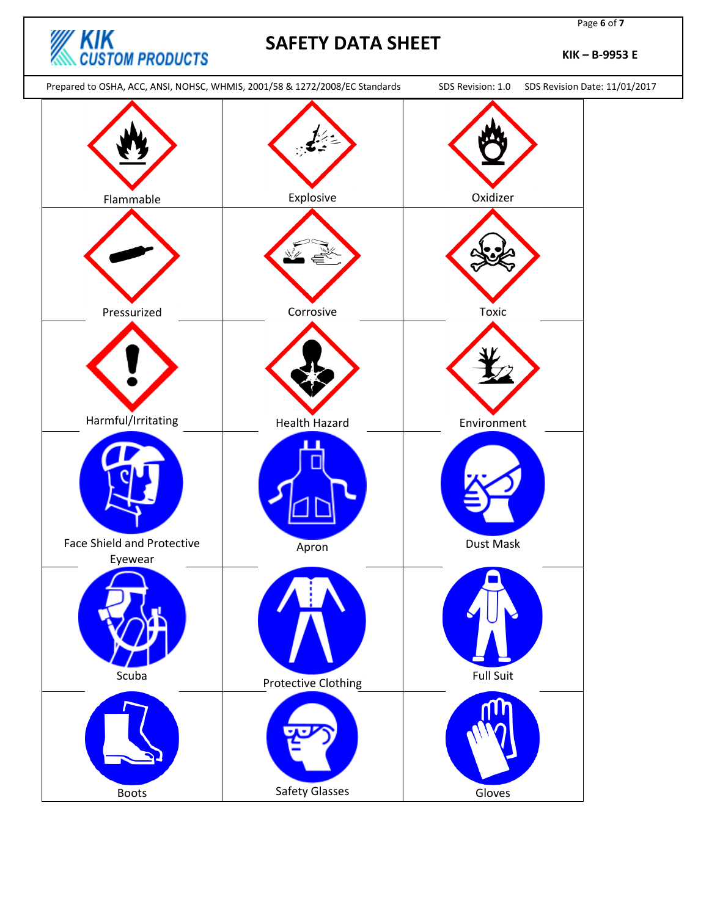

Page **6** of **7**

**KIK – B-9953 E**

| Prepared to OSHA, ACC, ANSI, NOHSC, WHMIS, 2001/58 & 1272/2008/EC Standards |                            | SDS Revision: 1.0 | SDS Revision Date: 11/01/2017 |
|-----------------------------------------------------------------------------|----------------------------|-------------------|-------------------------------|
| Flammable                                                                   | Explosive                  | Oxidizer          |                               |
| Pressurized                                                                 | Corrosive                  | Toxic             |                               |
| Harmful/Irritating                                                          | Health Hazard              | Environment       |                               |
| Face Shield and Protective                                                  | Apron                      | Dust Mask         |                               |
| Eyewear<br>Scuba                                                            | <b>Protective Clothing</b> | <b>Full Suit</b>  |                               |
| Boots                                                                       | Safety Glasses             | Gloves            |                               |